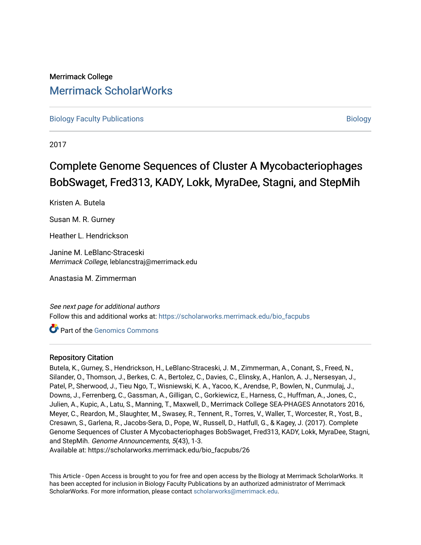## Merrimack College [Merrimack ScholarWorks](https://scholarworks.merrimack.edu/)

[Biology Faculty Publications](https://scholarworks.merrimack.edu/bio_facpubs) and the state of the state of the state of the [Biology](https://scholarworks.merrimack.edu/bio) Biology

2017

# Complete Genome Sequences of Cluster A Mycobacteriophages BobSwaget, Fred313, KADY, Lokk, MyraDee, Stagni, and StepMih

Kristen A. Butela

Susan M. R. Gurney

Heather L. Hendrickson

Janine M. LeBlanc-Straceski Merrimack College, leblancstraj@merrimack.edu

Anastasia M. Zimmerman

See next page for additional authors Follow this and additional works at: [https://scholarworks.merrimack.edu/bio\\_facpubs](https://scholarworks.merrimack.edu/bio_facpubs?utm_source=scholarworks.merrimack.edu%2Fbio_facpubs%2F26&utm_medium=PDF&utm_campaign=PDFCoverPages) 

Part of the [Genomics Commons](http://network.bepress.com/hgg/discipline/30?utm_source=scholarworks.merrimack.edu%2Fbio_facpubs%2F26&utm_medium=PDF&utm_campaign=PDFCoverPages) 

### Repository Citation

Butela, K., Gurney, S., Hendrickson, H., LeBlanc-Straceski, J. M., Zimmerman, A., Conant, S., Freed, N., Silander, O., Thomson, J., Berkes, C. A., Bertolez, C., Davies, C., Elinsky, A., Hanlon, A. J., Nersesyan, J., Patel, P., Sherwood, J., Tieu Ngo, T., Wisniewski, K. A., Yacoo, K., Arendse, P., Bowlen, N., Cunmulaj, J., Downs, J., Ferrenberg, C., Gassman, A., Gilligan, C., Gorkiewicz, E., Harness, C., Huffman, A., Jones, C., Julien, A., Kupic, A., Latu, S., Manning, T., Maxwell, D., Merrimack College SEA-PHAGES Annotators 2016, Meyer, C., Reardon, M., Slaughter, M., Swasey, R., Tennent, R., Torres, V., Waller, T., Worcester, R., Yost, B., Cresawn, S., Garlena, R., Jacobs-Sera, D., Pope, W., Russell, D., Hatfull, G., & Kagey, J. (2017). Complete Genome Sequences of Cluster A Mycobacteriophages BobSwaget, Fred313, KADY, Lokk, MyraDee, Stagni, and StepMih. Genome Announcements, 5(43), 1-3.

Available at: https://scholarworks.merrimack.edu/bio\_facpubs/26

This Article - Open Access is brought to you for free and open access by the Biology at Merrimack ScholarWorks. It has been accepted for inclusion in Biology Faculty Publications by an authorized administrator of Merrimack ScholarWorks. For more information, please contact [scholarworks@merrimack.edu.](mailto:scholarworks@merrimack.edu)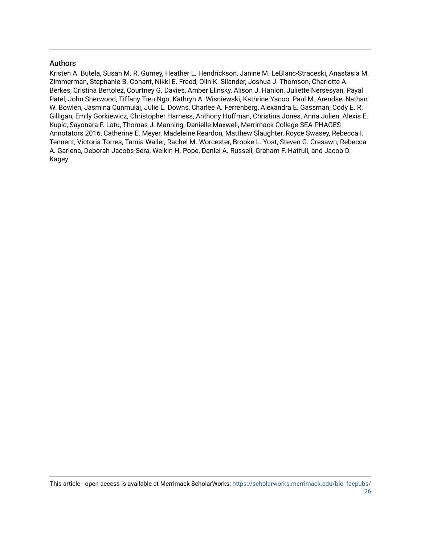### Authors

Kristen A. Butela, Susan M. R. Gurney, Heather L. Hendrickson, Janine M. LeBlanc-Straceski, Anastasia M. Zimmerman, Stephanie B. Conant, Nikki E. Freed, Olin K. Silander, Joshua J. Thomson, Charlotte A. Berkes, Cristina Bertolez, Courtney G. Davies, Amber Elinsky, Alison J. Hanlon, Juliette Nersesyan, Payal Patel, John Sherwood, Tiffany Tieu Ngo, Kathryn A. Wisniewski, Kathrine Yacoo, Paul M. Arendse, Nathan W. Bowlen, Jasmina Cunmulaj, Julie L. Downs, Charlee A. Ferrenberg, Alexandra E. Gassman, Cody E. R. Gilligan, Emily Gorkiewicz, Christopher Harness, Anthony Huffman, Christina Jones, Anna Julien, Alexis E. Kupic, Sayonara F. Latu, Thomas J. Manning, Danielle Maxwell, Merrimack College SEA-PHAGES Annotators 2016, Catherine E. Meyer, Madeleine Reardon, Matthew Slaughter, Royce Swasey, Rebecca I. Tennent, Victoria Torres, Tamia Waller, Rachel M. Worcester, Brooke L. Yost, Steven G. Cresawn, Rebecca A. Garlena, Deborah Jacobs-Sera, Welkin H. Pope, Daniel A. Russell, Graham F. Hatfull, and Jacob D. Kagey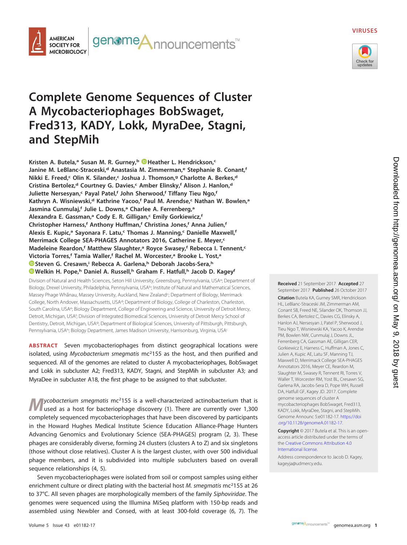#### **VIRUSES**



## **Complete Genome Sequences of Cluster A Mycobacteriophages BobSwaget, Fred313, KADY, Lokk, MyraDee, Stagni, and StepMih**

**AMERICAN SOCIETY FOR MICROBIOLOGY**  genome**A**nnouncements<sup>™</sup>

**Kristen A. Butela,a Susan M. R. Gurney,b [Heather L. Hendrickson,](http://orcid.org/0000-0003-3471-4397)c** Janine M. LeBlanc-Straceski,<sup>d</sup> Anastasia M. Zimmerman,<sup>e</sup> Stephanie B. Conant,<sup>f</sup> **Nikki E. Freed,<sup>c</sup> Olin K. Silander,<sup>c</sup> Joshua J. Thomson,<sup>g</sup> Charlotte A. Berkes,<sup>d</sup> Cristina Bertolez,d Courtney G. Davies,c Amber Elinsky,f Alison J. Hanlon,d Juliette Nersesyan,<sup>c</sup> Payal Patel,<sup>f</sup> John Sherwood,<sup>f</sup> Tiffany Tieu Ngo,<sup>f</sup> Kathryn A. Wisniewski,d Kathrine Yacoo,f Paul M. Arendse,c Nathan W. Bowlen,a** Jasmina Cunmulaj,<sup>f</sup> Julie L. Downs,<sup>a</sup> Charlee A. Ferrenberg,<sup>a</sup> Alexandra E. Gassman,<sup>a</sup> Cody E. R. Gilligan,<sup>c</sup> Emily Gorkiewicz,<sup>f</sup> **Christopher Harness,f Anthony Huffman,f Christina Jones,f Anna Julien,f Alexis E. Kupic,a Sayonara F. Latu,c Thomas J. Manning,c Danielle Maxwell,f Merrimack College SEA-PHAGES Annotators 2016, Catherine E. Meyer,c Madeleine Reardon,f Matthew Slaughter,a Royce Swasey,f Rebecca I. Tennent,c Victoria Torres,f Tamia Waller,f Rachel M. Worcester,a Brooke L. Yost,a [Steven G. Cresawn,](http://orcid.org/0000-0002-2162-562X)i Rebecca A. Garlena,h Deborah Jacobs-Sera,h [Welkin H. Pope,](http://orcid.org/0000-0002-2012-2924)h Daniel A. Russell,h Graham F. Hatfull,h Jacob D. Kageyf**

Division of Natural and Health Sciences, Seton Hill University, Greensburg, Pennsylvania, USA<sup>a</sup>; Department of Biology, Drexel University, Philadelphia, Pennsylvania, USAb; Institute of Natural and Mathematical Sciences, Massey Phage Whanau, Massey University, Auckland, New Zealand<sup>c</sup>; Department of Biology, Merrimack College, North Andover, Massachusetts, USA<sup>d</sup>; Department of Biology, College of Charleston, Charleston, South Carolina, USAe; Biology Department, College of Engineering and Science, University of Detroit Mercy, Detroit, Michigan, USA<sup>f</sup>; Division of Integrated Biomedical Sciences, University of Detroit Mercy School of Dentistry, Detroit, Michigan, USAg; Department of Biological Sciences, University of Pittsburgh, Pittsburgh, Pennsylvania, USA<sup>h</sup>; Biology Department, James Madison University, Harrisonburg, Virginia, USA<sup>i</sup>

**ABSTRACT** Seven mycobacteriophages from distinct geographical locations were isolated, using Mycobacterium smegmatis  $mc<sup>2</sup>155$  as the host, and then purified and sequenced. All of the genomes are related to cluster A mycobacteriophages, BobSwaget and Lokk in subcluster A2; Fred313, KADY, Stagni, and StepMih in subcluster A3; and MyraDee in subcluster A18, the first phage to be assigned to that subcluster.

ycobacterium smegmatis mc<sup>2</sup>155 is a well-characterized actinobacterium that is used as a host for bacteriophage discovery [\(1\)](#page-3-0). There are currently over 1,300 completely sequenced mycobacteriophages that have been discovered by participants in the Howard Hughes Medical Institute Science Education Alliance-Phage Hunters Advancing Genomics and Evolutionary Science (SEA-PHAGES) program [\(2,](#page-3-1) [3\)](#page-3-2). These phages are considerably diverse, forming 24 clusters (clusters A to Z) and six singletons (those without close relatives). Cluster A is the largest cluster, with over 500 individual phage members, and it is subdivided into multiple subclusters based on overall sequence relationships [\(4,](#page-4-0) [5\)](#page-4-1).

Seven mycobacteriophages were isolated from soil or compost samples using either enrichment culture or direct plating with the bacterial host M. smegmatis mc<sup>2</sup>155 at 26 to 37°C. All seven phages are morphologically members of the family Siphoviridae. The genomes were sequenced using the Illumina MiSeq platform with 150-bp reads and assembled using Newbler and Consed, with at least 300-fold coverage [\(6,](#page-4-2) [7\)](#page-4-3). The

**Received** 21 September 2017 **Accepted** 27 September 2017 **Published** 26 October 2017

**Citation** Butela KA, Gurney SMR, Hendrickson HL, LeBlanc-Straceski JM, Zimmerman AM, Conant SB, Freed NE, Silander OK, Thomson JJ, Berkes CA, Bertolez C, Davies CG, Elinsky A, Hanlon AJ, Nersesyan J, Patel P, Sherwood J, Tieu Ngo T, Wisniewski KA, Yacoo K, Arendse PM, Bowlen NW, Cunmulaj J, Downs JL, Ferrenberg CA, Gassman AE, Gilligan CER, Gorkiewicz E, Harness C, Huffman A, Jones C, Julien A, Kupic AE, Latu SF, Manning TJ, Maxwell D, Merrimack College SEA-PHAGES Annotators 2016, Meyer CE, Reardon M, Slaughter M, Swasey R, Tennent RI, Torres V, Waller T, Worcester RM, Yost BL, Cresawn SG, Garlena RA, Jacobs-Sera D, Pope WH, Russell DA, Hatfull GF, Kagey JD. 2017. Complete genome sequences of cluster A mycobacteriophages BobSwaget, Fred313, KADY, Lokk, MyraDee, Stagni, and StepMih. Genome Announc 5:e01182-17. [https://doi](https://doi.org/10.1128/genomeA.01182-17) [.org/10.1128/genomeA.01182-17.](https://doi.org/10.1128/genomeA.01182-17)

**Copyright** © 2017 Butela et al. This is an openaccess article distributed under the terms of the [Creative Commons Attribution 4.0](https://creativecommons.org/licenses/by/4.0/) [International](https://creativecommons.org/licenses/by/4.0/) license.

Address correspondence to Jacob D. Kagey, [kageyja@udmercy.edu.](mailto:kageyja@udmercy.edu)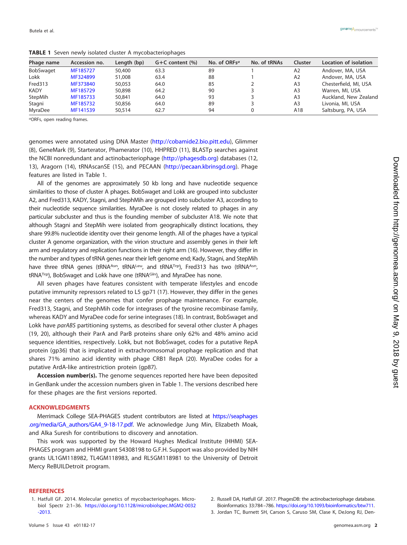| Phage name       | Accession no. | Length (bp) | $G+C$ content $(\%)$ | No. of ORFs <sup>a</sup> | No. of tRNAs | Cluster        | Location of isolation |
|------------------|---------------|-------------|----------------------|--------------------------|--------------|----------------|-----------------------|
| <b>BobSwaget</b> | MF185727      | 50,400      | 63.3                 | 89                       |              | A2             | Andover, MA, USA      |
| Lokk             | MF324899      | 51,008      | 63.4                 | 88                       |              | A2             | Andover, MA, USA      |
| Fred313          | MF373840      | 50,053      | 64.0                 | 85                       |              | A <sub>3</sub> | Chesterfield, MI, USA |
| <b>KADY</b>      | MF185729      | 50,898      | 64.2                 | 90                       |              | A <sub>3</sub> | Warren, MI, USA       |
| StepMih          | MF185733      | 50,841      | 64.0                 | 93                       |              | A <sub>3</sub> | Auckland, New Zealand |
| Stagni           | MF185732      | 50,856      | 64.0                 | 89                       |              | A <sub>3</sub> | Livonia, MI, USA      |
| MyraDee          | MF141539      | 50,514      | 62.7                 | 94                       |              | A18            | Saltsburg, PA, USA    |

<span id="page-3-3"></span>**TABLE 1** Seven newly isolated cluster A mycobacteriophages

aORFs, open reading frames.

genomes were annotated using DNA Master [\(http://cobamide2.bio.pitt.edu\)](http://cobamide2.bio.pitt.edu), Glimmer [\(8\)](#page-4-4), GeneMark [\(9\)](#page-4-5), Starterator, Phamerator [\(10\)](#page-4-6), HHPRED [\(11\)](#page-4-7), BLASTp searches against the NCBI nonredundant and actinobacteriophage [\(http://phagesdb.org\)](http://phagesdb.org) databases [\(12,](#page-4-8) [13\)](#page-4-9), Aragorn [\(14\)](#page-4-10), tRNAscanSE [\(15\)](#page-4-11), and PECAAN [\(http://pecaan.kbrinsgd.org\)](http://pecaan.kbrinsgd.org). Phage features are listed in [Table 1.](#page-3-3)

All of the genomes are approximately 50 kb long and have nucleotide sequence similarities to those of cluster A phages. BobSwaget and Lokk are grouped into subcluster A2, and Fred313, KADY, Stagni, and StephMih are grouped into subcluster A3, according to their nucleotide sequence similarities. MyraDee is not closely related to phages in any particular subcluster and thus is the founding member of subcluster A18. We note that although Stagni and StepMih were isolated from geographically distinct locations, they share 99.8% nucleotide identity over their genome length. All of the phages have a typical cluster A genome organization, with the virion structure and assembly genes in their left arm and regulatory and replication functions in their right arm [\(16\)](#page-4-12). However, they differ in the number and types of tRNA genes near their left genome end; Kady, Stagni, and StepMih have three tRNA genes (tRNAAsn, tRNALeu, and tRNATrp), Fred313 has two (tRNAAsn, tRNATrp), BobSwaget and Lokk have one (tRNAGIn), and MyraDee has none.

All seven phages have features consistent with temperate lifestyles and encode putative immunity repressors related to L5 gp71 [\(17\)](#page-4-13). However, they differ in the genes near the centers of the genomes that confer prophage maintenance. For example, Fred313, Stagni, and StephMih code for integrases of the tyrosine recombinase family, whereas KADY and MyraDee code for serine integrases [\(18\)](#page-4-14). In contrast, BobSwaget and Lokk have parABS partitioning systems, as described for several other cluster A phages [\(19,](#page-4-15) [20\)](#page-4-16), although their ParA and ParB proteins share only 62% and 48% amino acid sequence identities, respectively. Lokk, but not BobSwaget, codes for a putative RepA protein (gp36) that is implicated in extrachromosomal prophage replication and that shares 71% amino acid identity with phage CRB1 RepA [\(20\)](#page-4-16). MyraDee codes for a putative ArdA-like antirestriction protein (gp87).

**Accession number(s).** The genome sequences reported here have been deposited in GenBank under the accession numbers given in [Table 1.](#page-3-3) The versions described here for these phages are the first versions reported.

#### **ACKNOWLEDGMENTS**

Merrimack College SEA-PHAGES student contributors are listed at [https://seaphages](https://seaphages.org/media/GA_authors/GA4_9-18-17.pdf) [.org/media/GA\\_authors/GA4\\_9-18-17.pdf.](https://seaphages.org/media/GA_authors/GA4_9-18-17.pdf) We acknowledge Jung Min, Elizabeth Moak, and Alka Suresh for contributions to discovery and annotation.

This work was supported by the Howard Hughes Medical Institute (HHMI) SEA-PHAGES program and HHMI grant 54308198 to G.F.H. Support was also provided by NIH grants UL1GM118982, TL4GM118983, and RL5GM118981 to the University of Detroit Mercy ReBUILDetroit program.

#### <span id="page-3-0"></span>**REFERENCES**

- 1. Hatfull GF. 2014. Molecular genetics of mycobacteriophages. Microbiol Spectr 2:1–36. [https://doi.org/10.1128/microbiolspec.MGM2-0032](https://doi.org/10.1128/microbiolspec.MGM2-0032-2013) [-2013.](https://doi.org/10.1128/microbiolspec.MGM2-0032-2013)
- <span id="page-3-2"></span><span id="page-3-1"></span>2. Russell DA, Hatfull GF. 2017. PhagesDB: the actinobacteriophage database. Bioinformatics 33:784 –786. [https://doi.org/10.1093/bioinformatics/btw711.](https://doi.org/10.1093/bioinformatics/btw711)
- 3. Jordan TC, Burnett SH, Carson S, Caruso SM, Clase K, DeJong RJ, Den-